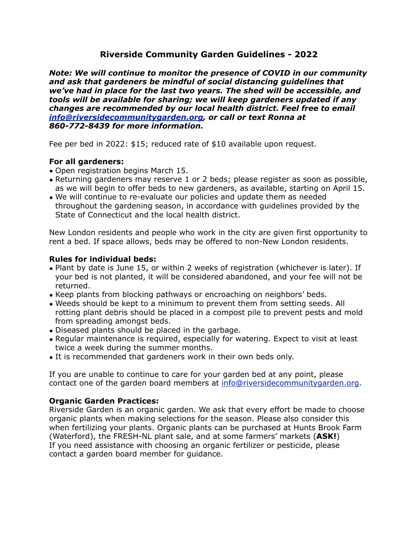# **Riverside Community Garden Guidelines - 2022**

*Note: We will continue to monitor the presence of COVID in our community and ask that gardeners be mindful of social distancing guidelines that we've had in place for the last two years. The shed will be accessible, and tools will be available for sharing; we will keep gardeners updated if any changes are recommended by our local health district. Feel free to email [info@riversidecommunitygarden.org,](mailto:info@riversidecommunitygarden.org) or call or text Ronna at 860-772-8439 for more information.*

Fee per bed in 2022: \$15; reduced rate of \$10 available upon request.

# **For all gardeners:**

- Open registration begins March 15.
- Returning gardeners may reserve 1 or 2 beds; please register as soon as possible, as we will begin to offer beds to new gardeners, as available, starting on April 15.
- We will continue to re-evaluate our policies and update them as needed throughout the gardening season, in accordance with guidelines provided by the State of Connecticut and the local health district.

New London residents and people who work in the city are given first opportunity to rent a bed. If space allows, beds may be offered to non-New London residents.

### **Rules for individual beds:**

- Plant by date is June 15, or within 2 weeks of registration (whichever is later). If your bed is not planted, it will be considered abandoned, and your fee will not be returned.
- Keep plants from blocking pathways or encroaching on neighbors' beds.
- Weeds should be kept to a minimum to prevent them from setting seeds. All rotting plant debris should be placed in a compost pile to prevent pests and mold from spreading amongst beds.
- Diseased plants should be placed in the garbage.
- Regular maintenance is required, especially for watering. Expect to visit at least twice a week during the summer months.
- It is recommended that gardeners work in their own beds only.

If you are unable to continue to care for your garden bed at any point, please contact one of the garden board members at [info@riversidecommunitygarden.org](mailto:info@riversidecommunitygarden.org).

# **Organic Garden Practices:**

Riverside Garden is an organic garden. We ask that every effort be made to choose organic plants when making selections for the season. Please also consider this when fertilizing your plants. Organic plants can be purchased at Hunts Brook Farm (Waterford), the FRESH-NL plant sale, and at some farmers' markets (**ASK!**) If you need assistance with choosing an organic fertilizer or pesticide, please contact a garden board member for guidance.